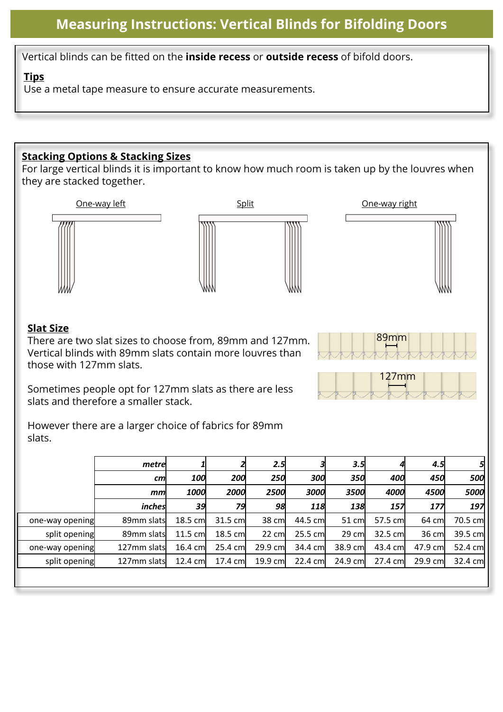# **Measuring Instructions: Vertical Blinds for Bifolding Doors**

Vertical blinds can be fitted on the **inside recess** or **outside recess** of bifold doors.

#### **Tips**

Use a metal tape measure to ensure accurate measurements.

### **Stacking Options & Stacking Sizes**

For large vertical blinds it is important to know how much room is taken up by the louvres when they are stacked together.



## **Slat Size**

There are two slat sizes to choose from, 89mm and 127mm. Vertical blinds with 89mm slats contain more louvres than those with 127mm slats.



89mm

Sometimes people opt for 127mm slats as there are less slats and therefore a smaller stack.

However there are a larger choice of fabrics for 89mm slats.

|                 | metre        |          |          | 2.5             |          | 3.5        |          | 4.5      | 5       |
|-----------------|--------------|----------|----------|-----------------|----------|------------|----------|----------|---------|
|                 | cm           | 100      | 200      | <b>250</b>      | 300      | <b>350</b> | 400l     | 450      | 500     |
|                 | mm           | 1000     | 2000     | 2500            | 3000     | 3500       | 4000     | 4500     | 5000    |
|                 | inches       | 39       | 79       | 98              | 118      | 138        | 157      | 177      | 197     |
| one-way opening | 89mm slats   | 18.5 cm  | 31.5 cm  | 38 cm           | 44.5 cml | 51 cm      | 57.5 cm  | 64 cm    | 70.5 cm |
| split opening   | 89mm slats   | 11.5 cm  | 18.5 cm  | $22 \text{ cm}$ | 25.5 cm  | $29$ cm    | 32.5 cm  | 36 cm    | 39.5 cm |
| one-way opening | 127mm slatsl | 16.4 cm  | 25.4 cml | 29.9 cm         | 34.4 cm  | 38.9 cm    | 43.4 cml | 47.9 cml | 52.4 cm |
| split opening   | 127mm slats  | 12.4 cml | 17.4 cml | 19.9 cm         | 22.4 cm  | 24.9 cm    | 27.4 cm  | 29.9 cml | 32.4 cm |
|                 |              |          |          |                 |          |            |          |          |         |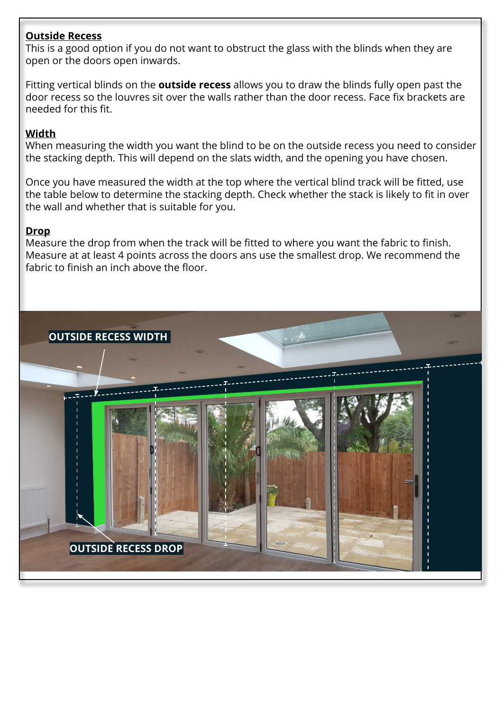### **Outside Recess**

This is a good option if you do not want to obstruct the glass with the blinds when they are open or the doors open inwards.

Fitting vertical blinds on the **outside recess** allows you to draw the blinds fully open past the door recess so the louvres sit over the walls rather than the door recess. Face fix brackets are needed for this fit.

## **Width**

When measuring the width you want the blind to be on the outside recess you need to consider the stacking depth. This will depend on the slats width, and the opening you have chosen.

Once you have measured the width at the top where the vertical blind track will be fitted, use the table below to determine the stacking depth. Check whether the stack is likely to fit in over the wall and whether that is suitable for you.

### **Drop**

Measure the drop from when the track will be fitted to where you want the fabric to finish. Measure at at least 4 points across the doors ans use the smallest drop. We recommend the fabric to finish an inch above the floor.